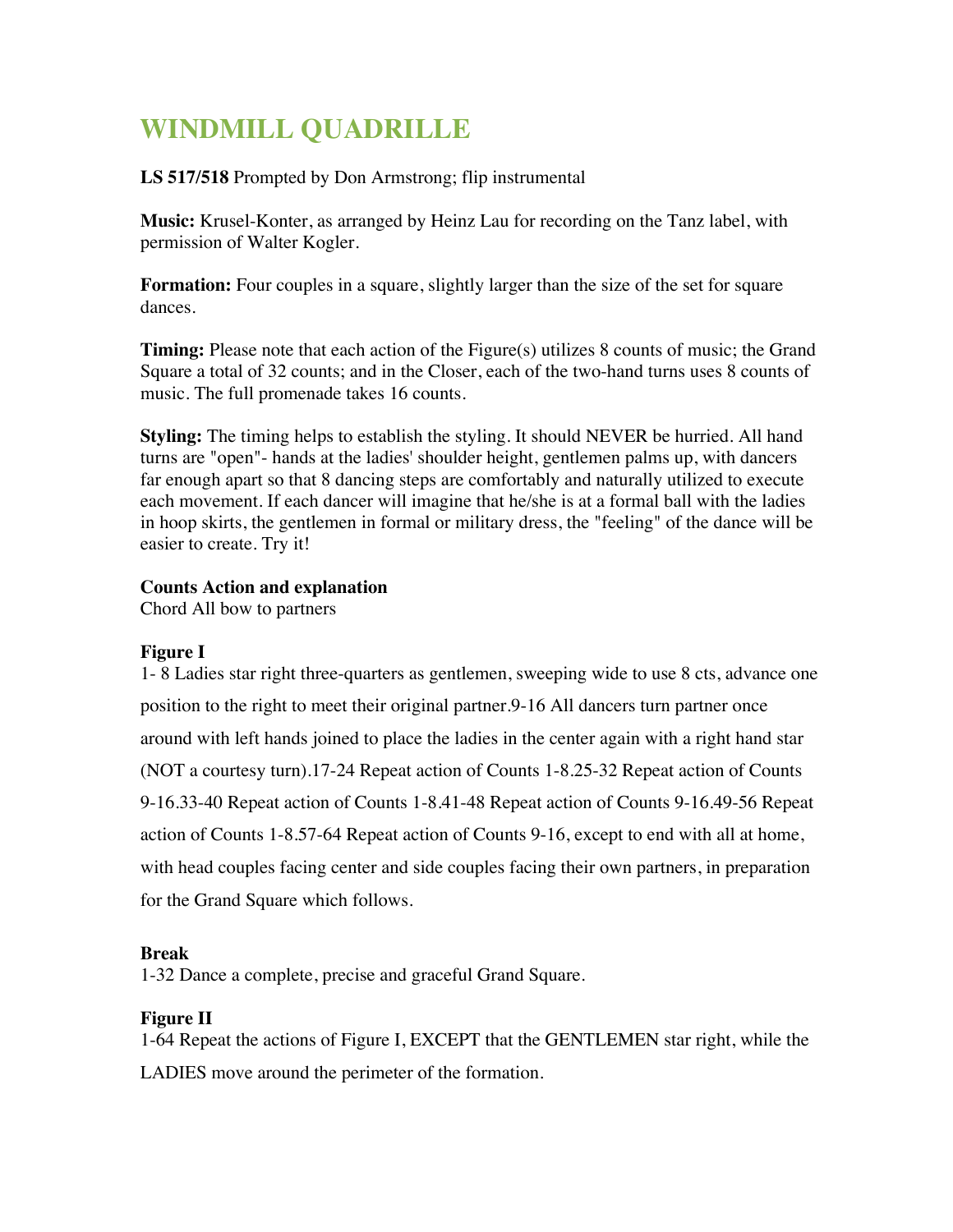# **WINDMILL QUADRILLE**

**LS 517/518** Prompted by Don Armstrong; flip instrumental

**Music:** Krusel-Konter, as arranged by Heinz Lau for recording on the Tanz label, with permission of Walter Kogler.

**Formation:** Four couples in a square, slightly larger than the size of the set for square dances.

**Timing:** Please note that each action of the Figure(s) utilizes 8 counts of music; the Grand Square a total of 32 counts; and in the Closer, each of the two-hand turns uses 8 counts of music. The full promenade takes 16 counts.

**Styling:** The timing helps to establish the styling. It should NEVER be hurried. All hand turns are "open"- hands at the ladies' shoulder height, gentlemen palms up, with dancers far enough apart so that 8 dancing steps are comfortably and naturally utilized to execute each movement. If each dancer will imagine that he/she is at a formal ball with the ladies in hoop skirts, the gentlemen in formal or military dress, the "feeling" of the dance will be easier to create. Try it!

## **Counts Action and explanation**

Chord All bow to partners

## **Figure I**

1- 8 Ladies star right three-quarters as gentlemen, sweeping wide to use 8 cts, advance one position to the right to meet their original partner.9-16 All dancers turn partner once around with left hands joined to place the ladies in the center again with a right hand star (NOT a courtesy turn).17-24 Repeat action of Counts 1-8.25-32 Repeat action of Counts 9-16.33-40 Repeat action of Counts 1-8.41-48 Repeat action of Counts 9-16.49-56 Repeat action of Counts 1-8.57-64 Repeat action of Counts 9-16, except to end with all at home, with head couples facing center and side couples facing their own partners, in preparation for the Grand Square which follows.

## **Break**

1-32 Dance a complete, precise and graceful Grand Square.

## **Figure II**

1-64 Repeat the actions of Figure I, EXCEPT that the GENTLEMEN star right, while the LADIES move around the perimeter of the formation.